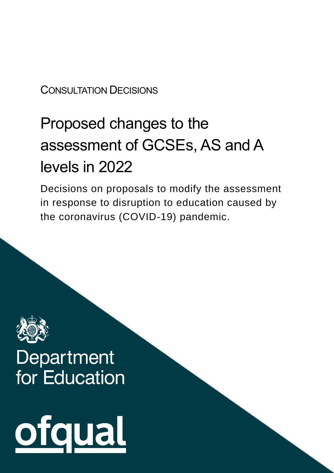#### CONSULTATION DECISIONS

# Proposed changes to the assessment of GCSEs, AS and A levels in 2022

Decisions on proposals to modify the assessment in response to disruption to education caused by the coronavirus (COVID-19) pandemic.



# Department for Education

ofqual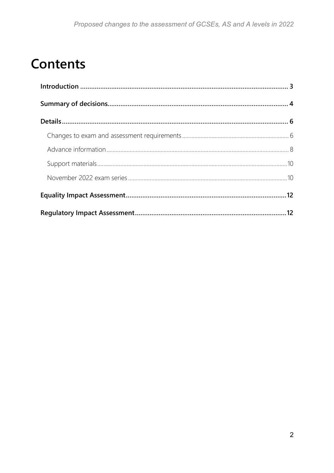### **Contents**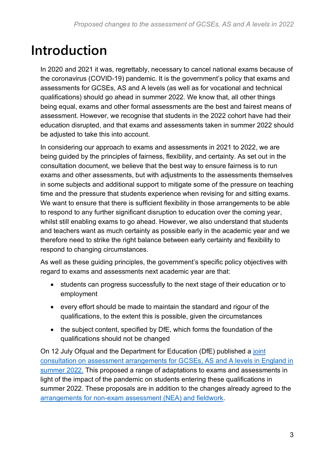### <span id="page-2-0"></span>**Introduction**

In 2020 and 2021 it was, regrettably, necessary to cancel national exams because of the coronavirus (COVID-19) pandemic. It is the government's policy that exams and assessments for GCSEs, AS and A levels (as well as for vocational and technical qualifications) should go ahead in summer 2022. We know that, all other things being equal, exams and other formal assessments are the best and fairest means of assessment. However, we recognise that students in the 2022 cohort have had their education disrupted, and that exams and assessments taken in summer 2022 should be adjusted to take this into account.

In considering our approach to exams and assessments in 2021 to 2022, we are being guided by the principles of fairness, flexibility, and certainty. As set out in the consultation document, we believe that the best way to ensure fairness is to run exams and other assessments, but with adjustments to the assessments themselves in some subjects and additional support to mitigate some of the pressure on teaching time and the pressure that students experience when revising for and sitting exams. We want to ensure that there is sufficient flexibility in those arrangements to be able to respond to any further significant disruption to education over the coming year, whilst still enabling exams to go ahead. However, we also understand that students and teachers want as much certainty as possible early in the academic year and we therefore need to strike the right balance between early certainty and flexibility to respond to changing circumstances.

As well as these guiding principles, the government's specific policy objectives with regard to exams and assessments next academic year are that:

- students can progress successfully to the next stage of their education or to employment
- every effort should be made to maintain the standard and rigour of the qualifications, to the extent this is possible, given the circumstances
- the subject content, specified by DfE, which forms the foundation of the qualifications should not be changed

On 12 July Ofqual and the Department for Education (DfE) published a [joint](https://www.gov.uk/government/consultations/proposed-changes-to-the-assessment-of-gcses-as-and-a-levels-in-2022)  [consultation on assessment arrangements for GCSEs, AS and A levels in England in](https://www.gov.uk/government/consultations/proposed-changes-to-the-assessment-of-gcses-as-and-a-levels-in-2022)  [summer 2022.](https://www.gov.uk/government/consultations/proposed-changes-to-the-assessment-of-gcses-as-and-a-levels-in-2022) This proposed a range of adaptations to exams and assessments in light of the impact of the pandemic on students entering these qualifications in summer 2022. These proposals are in addition to the changes already agreed to the [arrangements for non-exam assessment \(NEA\) and fieldwork.](https://www.gov.uk/government/consultations/arrangements-for-non-exam-assessment-for-qualifications-in-2022)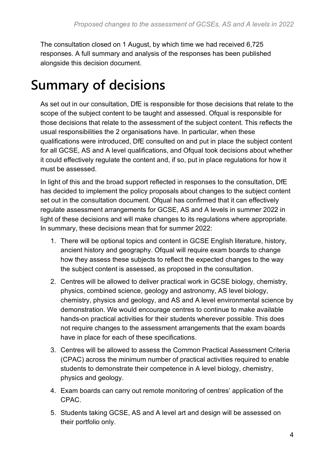The consultation closed on 1 August, by which time we had received 6,725 responses. A full summary and analysis of the responses has been published alongside this decision document.

### <span id="page-3-0"></span>**Summary of decisions**

As set out in our consultation, DfE is responsible for those decisions that relate to the scope of the subject content to be taught and assessed. Ofqual is responsible for those decisions that relate to the assessment of the subject content. This reflects the usual responsibilities the 2 organisations have. In particular, when these qualifications were introduced, DfE consulted on and put in place the subject content for all GCSE, AS and A level qualifications, and Ofqual took decisions about whether it could effectively regulate the content and, if so, put in place regulations for how it must be assessed.

In light of this and the broad support reflected in responses to the consultation, DfE has decided to implement the policy proposals about changes to the subject content set out in the consultation document. Ofqual has confirmed that it can effectively regulate assessment arrangements for GCSE, AS and A levels in summer 2022 in light of these decisions and will make changes to its regulations where appropriate. In summary, these decisions mean that for summer 2022:

- 1. There will be optional topics and content in GCSE English literature, history, ancient history and geography. Ofqual will require exam boards to change how they assess these subjects to reflect the expected changes to the way the subject content is assessed, as proposed in the consultation.
- 2. Centres will be allowed to deliver practical work in GCSE biology, chemistry, physics, combined science, geology and astronomy, AS level biology, chemistry, physics and geology, and AS and A level environmental science by demonstration. We would encourage centres to continue to make available hands-on practical activities for their students wherever possible. This does not require changes to the assessment arrangements that the exam boards have in place for each of these specifications.
- 3. Centres will be allowed to assess the Common Practical Assessment Criteria (CPAC) across the minimum number of practical activities required to enable students to demonstrate their competence in A level biology, chemistry, physics and geology.
- 4. Exam boards can carry out remote monitoring of centres' application of the CPAC.
- 5. Students taking GCSE, AS and A level art and design will be assessed on their portfolio only.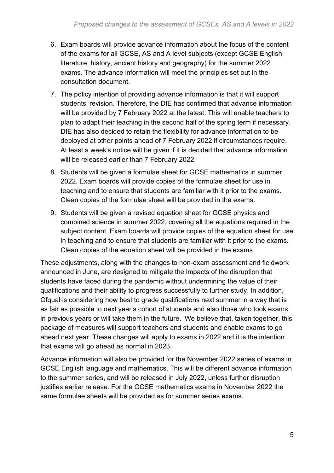- 6. Exam boards will provide advance information about the focus of the content of the exams for all GCSE, AS and A level subjects (except GCSE English literature, history, ancient history and geography) for the summer 2022 exams. The advance information will meet the principles set out in the consultation document.
- 7. The policy intention of providing advance information is that it will support students' revision. Therefore, the DfE has confirmed that advance information will be provided by 7 February 2022 at the latest. This will enable teachers to plan to adapt their teaching in the second half of the spring term if necessary. DfE has also decided to retain the flexibility for advance information to be deployed at other points ahead of 7 February 2022 if circumstances require. At least a week's notice will be given if it is decided that advance information will be released earlier than 7 February 2022.
- 8. Students will be given a formulae sheet for GCSE mathematics in summer 2022. Exam boards will provide copies of the formulae sheet for use in teaching and to ensure that students are familiar with it prior to the exams. Clean copies of the formulae sheet will be provided in the exams.
- 9. Students will be given a revised equation sheet for GCSE physics and combined science in summer 2022, covering all the equations required in the subject content. Exam boards will provide copies of the equation sheet for use in teaching and to ensure that students are familiar with it prior to the exams. Clean copies of the equation sheet will be provided in the exams.

These adjustments, along with the changes to non-exam assessment and fieldwork announced in June, are designed to mitigate the impacts of the disruption that students have faced during the pandemic without undermining the value of their qualifications and their ability to progress successfully to further study. In addition, Ofqual is considering how best to grade qualifications next summer in a way that is as fair as possible to next year's cohort of students and also those who took exams in previous years or will take them in the future. We believe that, taken together, this package of measures will support teachers and students and enable exams to go ahead next year. These changes will apply to exams in 2022 and it is the intention that exams will go ahead as normal in 2023.

Advance information will also be provided for the November 2022 series of exams in GCSE English language and mathematics. This will be different advance information to the summer series, and will be released in July 2022, unless further disruption justifies earlier release. For the GCSE mathematics exams in November 2022 the same formulae sheets will be provided as for summer series exams.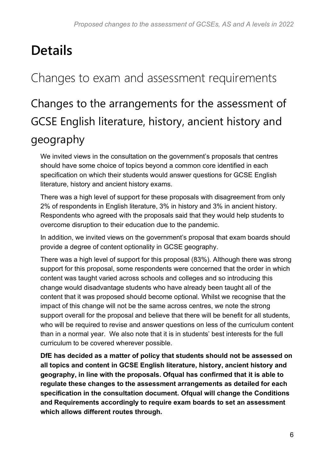## <span id="page-5-0"></span>**Details**

#### <span id="page-5-1"></span>Changes to exam and assessment requirements

### Changes to the arrangements for the assessment of GCSE English literature, history, ancient history and geography

We invited views in the consultation on the government's proposals that centres should have some choice of topics beyond a common core identified in each specification on which their students would answer questions for GCSE English literature, history and ancient history exams.

There was a high level of support for these proposals with disagreement from only 2% of respondents in English literature, 3% in history and 3% in ancient history. Respondents who agreed with the proposals said that they would help students to overcome disruption to their education due to the pandemic.

In addition, we invited views on the government's proposal that exam boards should provide a degree of content optionality in GCSE geography.

There was a high level of support for this proposal (83%). Although there was strong support for this proposal, some respondents were concerned that the order in which content was taught varied across schools and colleges and so introducing this change would disadvantage students who have already been taught all of the content that it was proposed should become optional. Whilst we recognise that the impact of this change will not be the same across centres, we note the strong support overall for the proposal and believe that there will be benefit for all students, who will be required to revise and answer questions on less of the curriculum content than in a normal year. We also note that it is in students' best interests for the full curriculum to be covered wherever possible.

**DfE has decided as a matter of policy that students should not be assessed on all topics and content in GCSE English literature, history, ancient history and geography, in line with the proposals. Ofqual has confirmed that it is able to regulate these changes to the assessment arrangements as detailed for each specification in the consultation document. Ofqual will change the Conditions and Requirements accordingly to require exam boards to set an assessment which allows different routes through.**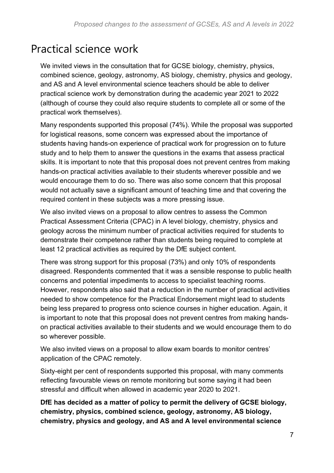#### Practical science work

We invited views in the consultation that for GCSE biology, chemistry, physics, combined science, geology, astronomy, AS biology, chemistry, physics and geology, and AS and A level environmental science teachers should be able to deliver practical science work by demonstration during the academic year 2021 to 2022 (although of course they could also require students to complete all or some of the practical work themselves).

Many respondents supported this proposal (74%). While the proposal was supported for logistical reasons, some concern was expressed about the importance of students having hands-on experience of practical work for progression on to future study and to help them to answer the questions in the exams that assess practical skills. It is important to note that this proposal does not prevent centres from making hands-on practical activities available to their students wherever possible and we would encourage them to do so. There was also some concern that this proposal would not actually save a significant amount of teaching time and that covering the required content in these subjects was a more pressing issue.

We also invited views on a proposal to allow centres to assess the Common Practical Assessment Criteria (CPAC) in A level biology, chemistry, physics and geology across the minimum number of practical activities required for students to demonstrate their competence rather than students being required to complete at least 12 practical activities as required by the DfE subject content.

There was strong support for this proposal (73%) and only 10% of respondents disagreed. Respondents commented that it was a sensible response to public health concerns and potential impediments to access to specialist teaching rooms. However, respondents also said that a reduction in the number of practical activities needed to show competence for the Practical Endorsement might lead to students being less prepared to progress onto science courses in higher education. Again, it is important to note that this proposal does not prevent centres from making handson practical activities available to their students and we would encourage them to do so wherever possible.

We also invited views on a proposal to allow exam boards to monitor centres' application of the CPAC remotely.

Sixty-eight per cent of respondents supported this proposal, with many comments reflecting favourable views on remote monitoring but some saying it had been stressful and difficult when allowed in academic year 2020 to 2021.

**DfE has decided as a matter of policy to permit the delivery of GCSE biology, chemistry, physics, combined science, geology, astronomy, AS biology, chemistry, physics and geology, and AS and A level environmental science**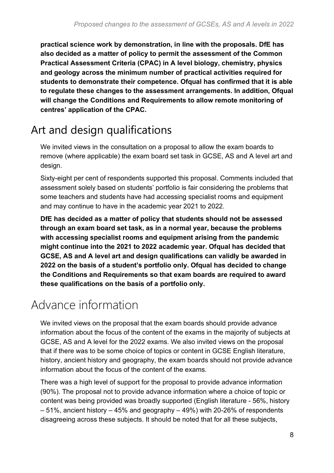**practical science work by demonstration, in line with the proposals. DfE has also decided as a matter of policy to permit the assessment of the Common Practical Assessment Criteria (CPAC) in A level biology, chemistry, physics and geology across the minimum number of practical activities required for students to demonstrate their competence. Ofqual has confirmed that it is able to regulate these changes to the assessment arrangements. In addition, Ofqual will change the Conditions and Requirements to allow remote monitoring of centres' application of the CPAC.**

#### Art and design qualifications

We invited views in the consultation on a proposal to allow the exam boards to remove (where applicable) the exam board set task in GCSE, AS and A level art and design.

Sixty-eight per cent of respondents supported this proposal. Comments included that assessment solely based on students' portfolio is fair considering the problems that some teachers and students have had accessing specialist rooms and equipment and may continue to have in the academic year 2021 to 2022.

**DfE has decided as a matter of policy that students should not be assessed through an exam board set task, as in a normal year, because the problems with accessing specialist rooms and equipment arising from the pandemic might continue into the 2021 to 2022 academic year. Ofqual has decided that GCSE, AS and A level art and design qualifications can validly be awarded in 2022 on the basis of a student's portfolio only. Ofqual has decided to change the Conditions and Requirements so that exam boards are required to award these qualifications on the basis of a portfolio only.**

### <span id="page-7-0"></span>Advance information

We invited views on the proposal that the exam boards should provide advance information about the focus of the content of the exams in the majority of subjects at GCSE, AS and A level for the 2022 exams. We also invited views on the proposal that if there was to be some choice of topics or content in GCSE English literature, history, ancient history and geography, the exam boards should not provide advance information about the focus of the content of the exams.

There was a high level of support for the proposal to provide advance information (90%). The proposal not to provide advance information where a choice of topic or content was being provided was broadly supported (English literature - 56%, history – 51%, ancient history – 45% and geography – 49%) with 20-26% of respondents disagreeing across these subjects. It should be noted that for all these subjects,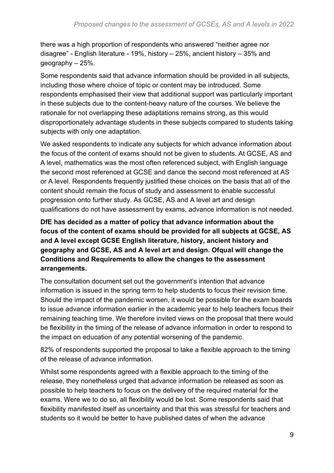there was a high proportion of respondents who answered "neither agree nor disagree" - English literature - 19%, history – 25%, ancient history – 35% and geography – 25%.

Some respondents said that advance information should be provided in all subjects, including those where choice of topic or content may be introduced. Some respondents emphasised their view that additional support was particularly important in these subjects due to the content-heavy nature of the courses. We believe the rationale for not overlapping these adaptations remains strong, as this would disproportionately advantage students in these subjects compared to students taking subjects with only one adaptation.

We asked respondents to indicate any subjects for which advance information about the focus of the content of exams should not be given to students. At GCSE, AS and A level, mathematics was the most often referenced subject, with English language the second most referenced at GCSE and dance the second most referenced at AS or A level. Respondents frequently justified these choices on the basis that all of the content should remain the focus of study and assessment to enable successful progression onto further study. As GCSE, AS and A level art and design qualifications do not have assessment by exams, advance information is not needed.

**DfE has decided as a matter of policy that advance information about the focus of the content of exams should be provided for all subjects at GCSE, AS and A level except GCSE English literature, history, ancient history and geography and GCSE, AS and A level art and design. Ofqual will change the Conditions and Requirements to allow the changes to the assessment arrangements.**

The consultation document set out the government's intention that advance information is issued in the spring term to help students to focus their revision time. Should the impact of the pandemic worsen, it would be possible for the exam boards to issue advance information earlier in the academic year to help teachers focus their remaining teaching time. We therefore invited views on the proposal that there would be flexibility in the timing of the release of advance information in order to respond to the impact on education of any potential worsening of the pandemic.

82% of respondents supported the proposal to take a flexible approach to the timing of the release of advance information.

Whilst some respondents agreed with a flexible approach to the timing of the release, they nonetheless urged that advance information be released as soon as possible to help teachers to focus on the delivery of the required material for the exams. Were we to do so, all flexibility would be lost. Some respondents said that flexibility manifested itself as uncertainty and that this was stressful for teachers and students so it would be better to have published dates of when the advance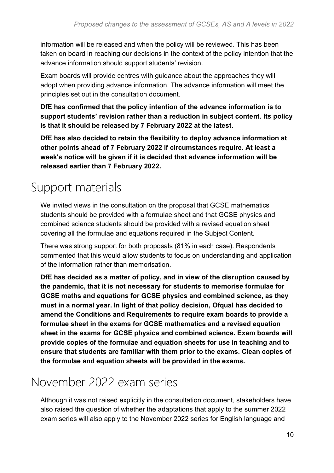information will be released and when the policy will be reviewed. This has been taken on board in reaching our decisions in the context of the policy intention that the advance information should support students' revision.

Exam boards will provide centres with guidance about the approaches they will adopt when providing advance information. The advance information will meet the principles set out in the consultation document.

**DfE has confirmed that the policy intention of the advance information is to support students' revision rather than a reduction in subject content. Its policy is that it should be released by 7 February 2022 at the latest.** 

**DfE has also decided to retain the flexibility to deploy advance information at other points ahead of 7 February 2022 if circumstances require. At least a week's notice will be given if it is decided that advance information will be released earlier than 7 February 2022.**

### <span id="page-9-0"></span>Support materials

We invited views in the consultation on the proposal that GCSE mathematics students should be provided with a formulae sheet and that GCSE physics and combined science students should be provided with a revised equation sheet covering all the formulae and equations required in the Subject Content.

There was strong support for both proposals (81% in each case). Respondents commented that this would allow students to focus on understanding and application of the information rather than memorisation.

**DfE has decided as a matter of policy, and in view of the disruption caused by the pandemic, that it is not necessary for students to memorise formulae for GCSE maths and equations for GCSE physics and combined science, as they must in a normal year. In light of that policy decision, Ofqual has decided to amend the Conditions and Requirements to require exam boards to provide a formulae sheet in the exams for GCSE mathematics and a revised equation sheet in the exams for GCSE physics and combined science. Exam boards will provide copies of the formulae and equation sheets for use in teaching and to ensure that students are familiar with them prior to the exams. Clean copies of the formulae and equation sheets will be provided in the exams.**

#### <span id="page-9-1"></span>November 2022 exam series

Although it was not raised explicitly in the consultation document, stakeholders have also raised the question of whether the adaptations that apply to the summer 2022 exam series will also apply to the November 2022 series for English language and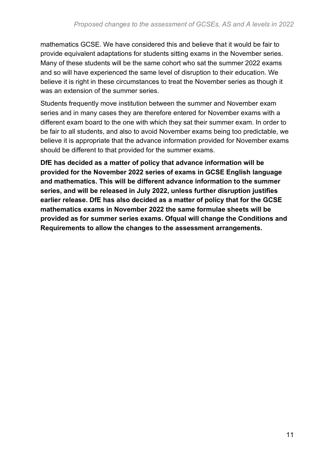mathematics GCSE. We have considered this and believe that it would be fair to provide equivalent adaptations for students sitting exams in the November series. Many of these students will be the same cohort who sat the summer 2022 exams and so will have experienced the same level of disruption to their education. We believe it is right in these circumstances to treat the November series as though it was an extension of the summer series.

Students frequently move institution between the summer and November exam series and in many cases they are therefore entered for November exams with a different exam board to the one with which they sat their summer exam. In order to be fair to all students, and also to avoid November exams being too predictable, we believe it is appropriate that the advance information provided for November exams should be different to that provided for the summer exams.

**DfE has decided as a matter of policy that advance information will be provided for the November 2022 series of exams in GCSE English language and mathematics. This will be different advance information to the summer series, and will be released in July 2022, unless further disruption justifies earlier release. DfE has also decided as a matter of policy that for the GCSE mathematics exams in November 2022 the same formulae sheets will be provided as for summer series exams. Ofqual will change the Conditions and Requirements to allow the changes to the assessment arrangements.**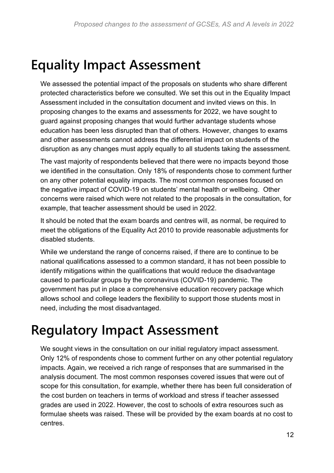### <span id="page-11-0"></span>**Equality Impact Assessment**

We assessed the potential impact of the proposals on students who share different protected characteristics before we consulted. We set this out in the Equality Impact Assessment included in the consultation document and invited views on this. In proposing changes to the exams and assessments for 2022, we have sought to guard against proposing changes that would further advantage students whose education has been less disrupted than that of others. However, changes to exams and other assessments cannot address the differential impact on students of the disruption as any changes must apply equally to all students taking the assessment.

The vast majority of respondents believed that there were no impacts beyond those we identified in the consultation. Only 18% of respondents chose to comment further on any other potential equality impacts. The most common responses focused on the negative impact of COVID-19 on students' mental health or wellbeing. Other concerns were raised which were not related to the proposals in the consultation, for example, that teacher assessment should be used in 2022.

It should be noted that the exam boards and centres will, as normal, be required to meet the obligations of the Equality Act 2010 to provide reasonable adjustments for disabled students.

While we understand the range of concerns raised, if there are to continue to be national qualifications assessed to a common standard, it has not been possible to identify mitigations within the qualifications that would reduce the disadvantage caused to particular groups by the coronavirus (COVID-19) pandemic. The government has put in place a comprehensive education recovery package which allows school and college leaders the flexibility to support those students most in need, including the most disadvantaged.

### <span id="page-11-1"></span>**Regulatory Impact Assessment**

We sought views in the consultation on our initial regulatory impact assessment. Only 12% of respondents chose to comment further on any other potential regulatory impacts. Again, we received a rich range of responses that are summarised in the analysis document. The most common responses covered issues that were out of scope for this consultation, for example, whether there has been full consideration of the cost burden on teachers in terms of workload and stress if teacher assessed grades are used in 2022. However, the cost to schools of extra resources such as formulae sheets was raised. These will be provided by the exam boards at no cost to centres.